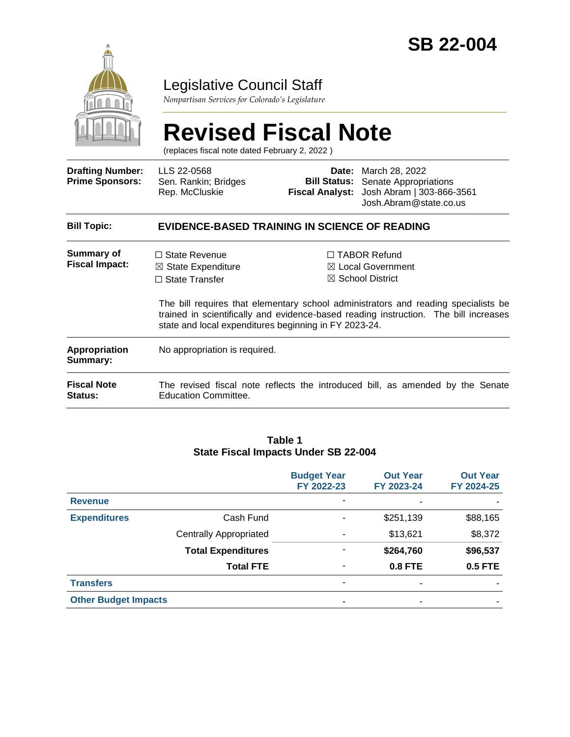

# Legislative Council Staff

*Nonpartisan Services for Colorado's Legislature*

# **Revised Fiscal Note**

(replaces fiscal note dated February 2, 2022 )

| <b>Drafting Number:</b><br><b>Prime Sponsors:</b> | LLS 22-0568<br>Sen. Rankin; Bridges<br>Rep. McCluskie                                                                                   | <b>Date:</b> March 28, 2022<br><b>Bill Status:</b> Senate Appropriations<br>Fiscal Analyst: Josh Abram   303-866-3561<br>Josh.Abram@state.co.us                                                                                                                  |  |
|---------------------------------------------------|-----------------------------------------------------------------------------------------------------------------------------------------|------------------------------------------------------------------------------------------------------------------------------------------------------------------------------------------------------------------------------------------------------------------|--|
| <b>Bill Topic:</b>                                | EVIDENCE-BASED TRAINING IN SCIENCE OF READING                                                                                           |                                                                                                                                                                                                                                                                  |  |
| Summary of<br><b>Fiscal Impact:</b>               | $\Box$ State Revenue<br>$\boxtimes$ State Expenditure<br>$\Box$ State Transfer<br>state and local expenditures beginning in FY 2023-24. | $\Box$ TABOR Refund<br>$\boxtimes$ Local Government<br>$\boxtimes$ School District<br>The bill requires that elementary school administrators and reading specialists be<br>trained in scientifically and evidence-based reading instruction. The bill increases |  |
| Appropriation<br>Summary:                         | No appropriation is required.                                                                                                           |                                                                                                                                                                                                                                                                  |  |
| <b>Fiscal Note</b><br>Status:                     | <b>Education Committee.</b>                                                                                                             | The revised fiscal note reflects the introduced bill, as amended by the Senate                                                                                                                                                                                   |  |

#### **Table 1 State Fiscal Impacts Under SB 22-004**

|                             |                               | <b>Budget Year</b><br>FY 2022-23 | <b>Out Year</b><br>FY 2023-24 | <b>Out Year</b><br>FY 2024-25 |
|-----------------------------|-------------------------------|----------------------------------|-------------------------------|-------------------------------|
| <b>Revenue</b>              |                               | ۰                                | ٠                             |                               |
| <b>Expenditures</b>         | Cash Fund                     | ۰                                | \$251,139                     | \$88,165                      |
|                             | <b>Centrally Appropriated</b> | ۰                                | \$13,621                      | \$8,372                       |
|                             | <b>Total Expenditures</b>     | ۰                                | \$264,760                     | \$96,537                      |
|                             | <b>Total FTE</b>              | ٠                                | <b>0.8 FTE</b>                | <b>0.5 FTE</b>                |
| <b>Transfers</b>            |                               | ۰                                | ٠                             |                               |
| <b>Other Budget Impacts</b> |                               | ۰                                | ٠                             |                               |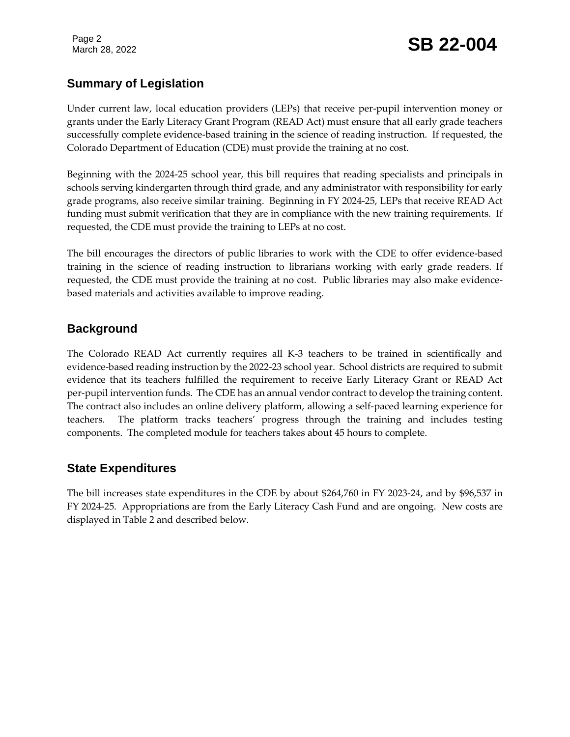# **Summary of Legislation**

Under current law, local education providers (LEPs) that receive per-pupil intervention money or grants under the Early Literacy Grant Program (READ Act) must ensure that all early grade teachers successfully complete evidence-based training in the science of reading instruction. If requested, the Colorado Department of Education (CDE) must provide the training at no cost.

Beginning with the 2024-25 school year, this bill requires that reading specialists and principals in schools serving kindergarten through third grade, and any administrator with responsibility for early grade programs, also receive similar training. Beginning in FY 2024-25, LEPs that receive READ Act funding must submit verification that they are in compliance with the new training requirements. If requested, the CDE must provide the training to LEPs at no cost.

The bill encourages the directors of public libraries to work with the CDE to offer evidence-based training in the science of reading instruction to librarians working with early grade readers. If requested, the CDE must provide the training at no cost. Public libraries may also make evidencebased materials and activities available to improve reading.

## **Background**

The Colorado READ Act currently requires all K-3 teachers to be trained in scientifically and evidence-based reading instruction by the 2022-23 school year. School districts are required to submit evidence that its teachers fulfilled the requirement to receive Early Literacy Grant or READ Act per-pupil intervention funds. The CDE has an annual vendor contract to develop the training content. The contract also includes an online delivery platform, allowing a self-paced learning experience for teachers. The platform tracks teachers' progress through the training and includes testing components. The completed module for teachers takes about 45 hours to complete.

# **State Expenditures**

The bill increases state expenditures in the CDE by about \$264,760 in FY 2023-24, and by \$96,537 in FY 2024-25. Appropriations are from the Early Literacy Cash Fund and are ongoing. New costs are displayed in Table 2 and described below.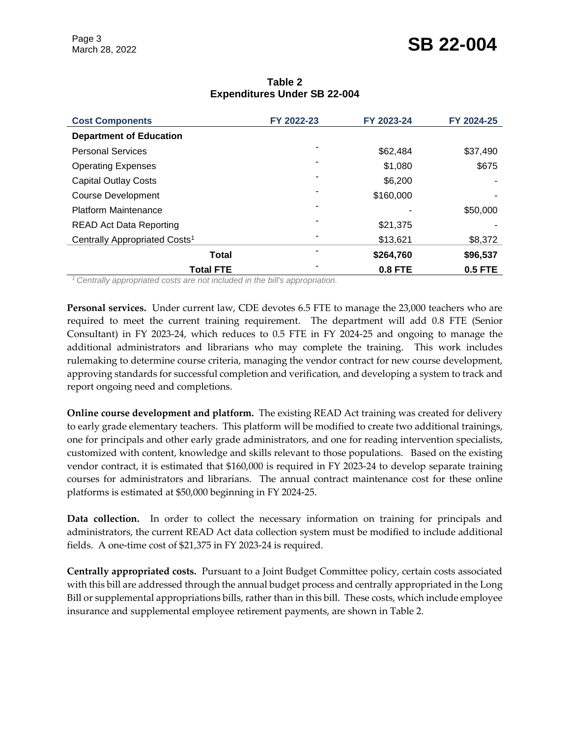| <b>Cost Components</b>                    | FY 2022-23 | FY 2023-24     | FY 2024-25     |
|-------------------------------------------|------------|----------------|----------------|
| <b>Department of Education</b>            |            |                |                |
| <b>Personal Services</b>                  | -          | \$62,484       | \$37,490       |
| <b>Operating Expenses</b>                 |            | \$1,080        | \$675          |
| <b>Capital Outlay Costs</b>               |            | \$6,200        |                |
| <b>Course Development</b>                 |            | \$160,000      |                |
| <b>Platform Maintenance</b>               |            |                | \$50,000       |
| <b>READ Act Data Reporting</b>            |            | \$21,375       |                |
| Centrally Appropriated Costs <sup>1</sup> |            | \$13,621       | \$8,372        |
| <b>Total</b>                              |            | \$264,760      | \$96,537       |
| <b>Total FTE</b>                          |            | <b>0.8 FTE</b> | <b>0.5 FTE</b> |

#### **Table 2 Expenditures Under SB 22-004**

*<sup>1</sup>Centrally appropriated costs are not included in the bill's appropriation.*

**Personal services.** Under current law, CDE devotes 6.5 FTE to manage the 23,000 teachers who are required to meet the current training requirement. The department will add 0.8 FTE (Senior Consultant) in FY 2023-24, which reduces to 0.5 FTE in FY 2024-25 and ongoing to manage the additional administrators and librarians who may complete the training. This work includes rulemaking to determine course criteria, managing the vendor contract for new course development, approving standards for successful completion and verification, and developing a system to track and report ongoing need and completions.

**Online course development and platform.** The existing READ Act training was created for delivery to early grade elementary teachers. This platform will be modified to create two additional trainings, one for principals and other early grade administrators, and one for reading intervention specialists, customized with content, knowledge and skills relevant to those populations. Based on the existing vendor contract, it is estimated that \$160,000 is required in FY 2023-24 to develop separate training courses for administrators and librarians. The annual contract maintenance cost for these online platforms is estimated at \$50,000 beginning in FY 2024-25.

**Data collection.** In order to collect the necessary information on training for principals and administrators, the current READ Act data collection system must be modified to include additional fields. A one-time cost of \$21,375 in FY 2023-24 is required.

**Centrally appropriated costs.** Pursuant to a Joint Budget Committee policy, certain costs associated with this bill are addressed through the annual budget process and centrally appropriated in the Long Bill or supplemental appropriations bills, rather than in this bill. These costs, which include employee insurance and supplemental employee retirement payments, are shown in Table 2.